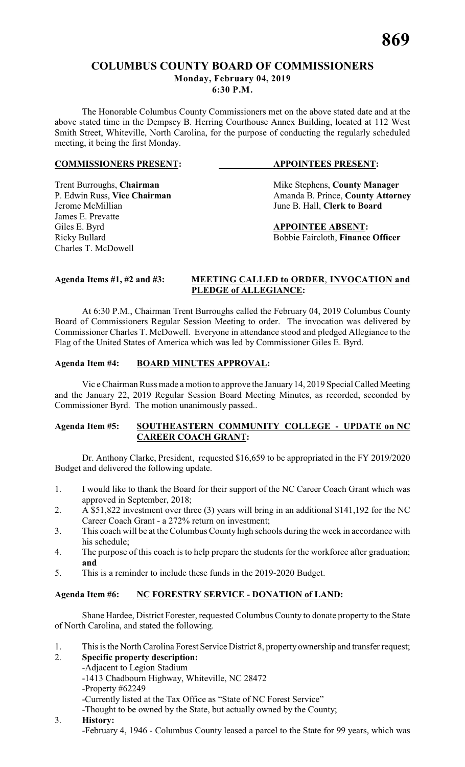# **COLUMBUS COUNTY BOARD OF COMMISSIONERS Monday, February 04, 2019 6:30 P.M.**

The Honorable Columbus County Commissioners met on the above stated date and at the above stated time in the Dempsey B. Herring Courthouse Annex Building, located at 112 West Smith Street, Whiteville, North Carolina, for the purpose of conducting the regularly scheduled meeting, it being the first Monday.

#### **COMMISSIONERS PRESENT: APPOINTEES PRESENT:**

Trent Burroughs, **Chairman** Mike Stephens, **County Manager** P. Edwin Russ, Vice Chairman Manager Amanda B. Prince, **County Attorn** P. Edwin Russ, **Vice Chairman** Amanda B. Prince, **County Attorney**<br>Jerome McMillian June B. Hall. Clerk to Board June B. Hall, **Clerk to Board** 

Giles E. Byrd **APPOINTEE ABSENT:** Ricky Bullard **Bobbie Faircloth, Finance Officer** 

James E. Prevatte

Charles T. McDowell

#### **Agenda Items #1, #2 and #3: MEETING CALLED to ORDER**, **INVOCATION and PLEDGE of ALLEGIANCE:**

At 6:30 P.M., Chairman Trent Burroughs called the February 04, 2019 Columbus County Board of Commissioners Regular Session Meeting to order. The invocation was delivered by Commissioner Charles T. McDowell. Everyone in attendance stood and pledged Allegiance to the Flag of the United States of America which was led by Commissioner Giles E. Byrd.

# **Agenda Item #4: BOARD MINUTES APPROVAL:**

Vic e Chairman Russ made a motion to approve the January 14, 2019 Special Called Meeting and the January 22, 2019 Regular Session Board Meeting Minutes, as recorded, seconded by Commissioner Byrd. The motion unanimously passed..

### **Agenda Item #5: SOUTHEASTERN COMMUNITY COLLEGE - UPDATE on NC CAREER COACH GRANT:**

Dr. Anthony Clarke, President, requested \$16,659 to be appropriated in the FY 2019/2020 Budget and delivered the following update.

- 1. I would like to thank the Board for their support of the NC Career Coach Grant which was approved in September, 2018;
- 2. A \$51,822 investment over three (3) years will bring in an additional \$141,192 for the NC Career Coach Grant - a 272% return on investment;
- 3. This coach will be at the Columbus County high schools during the week in accordance with his schedule;
- 4. The purpose of this coach is to help prepare the students for the workforce after graduation; **and**
- 5. This is a reminder to include these funds in the 2019-2020 Budget.

# **Agenda Item #6: NC FORESTRY SERVICE - DONATION of LAND:**

Shane Hardee, District Forester, requested Columbus County to donate property to the State of North Carolina, and stated the following.

1. This is the North Carolina Forest Service District 8, property ownership and transfer request;

# 2. **Specific property description:**

-Adjacent to Legion Stadium -1413 Chadbourn Highway, Whiteville, NC 28472

-Property #62249

-Currently listed at the Tax Office as "State of NC Forest Service"

-Thought to be owned by the State, but actually owned by the County;

# 3. **History:**

-February 4, 1946 - Columbus County leased a parcel to the State for 99 years, which was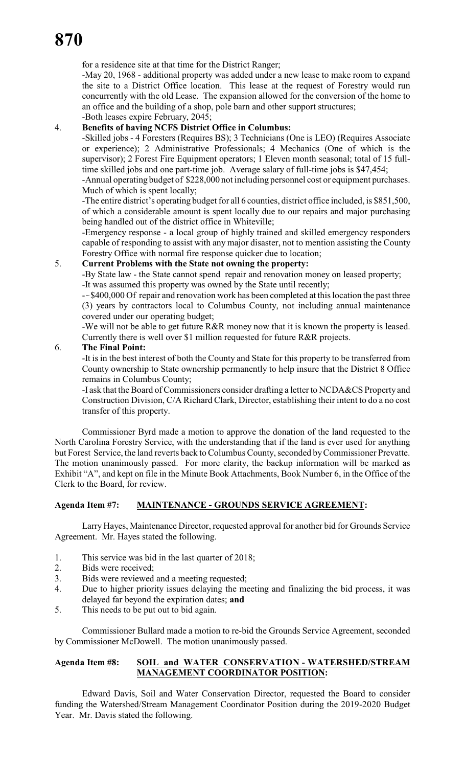for a residence site at that time for the District Ranger;

-May 20, 1968 - additional property was added under a new lease to make room to expand the site to a District Office location. This lease at the request of Forestry would run concurrently with the old Lease. The expansion allowed for the conversion of the home to an office and the building of a shop, pole barn and other support structures; -Both leases expire February, 2045;

# 4. **Benefits of having NCFS District Office in Columbus:**

-Skilled jobs - 4 Foresters (Requires BS); 3 Technicians (One is LEO) (Requires Associate or experience); 2 Administrative Professionals; 4 Mechanics (One of which is the supervisor); 2 Forest Fire Equipment operators; 1 Eleven month seasonal; total of 15 fulltime skilled jobs and one part-time job. Average salary of full-time jobs is \$47,454;

-Annual operating budget of \$228,000 not including personnel cost or equipment purchases. Much of which is spent locally;

-The entire district's operating budget for all 6 counties, district office included, is \$851,500, of which a considerable amount is spent locally due to our repairs and major purchasing being handled out of the district office in Whiteville;

-Emergency response - a local group of highly trained and skilled emergency responders capable of responding to assist with any major disaster, not to mention assisting the County Forestry Office with normal fire response quicker due to location;

# 5. **Current Problems with the State not owning the property:**

-By State law - the State cannot spend repair and renovation money on leased property; -It was assumed this property was owned by the State until recently;

--\$400,000 Of repair and renovation work has been completed at this location the past three (3) years by contractors local to Columbus County, not including annual maintenance covered under our operating budget;

-We will not be able to get future R&R money now that it is known the property is leased. Currently there is well over \$1 million requested for future R&R projects.

# 6. **The Final Point:**

-It is in the best interest of both the County and State for this property to be transferred from County ownership to State ownership permanently to help insure that the District 8 Office remains in Columbus County;

-I ask that the Board of Commissioners consider drafting a letter to NCDA&CS Property and Construction Division, C/A Richard Clark, Director, establishing their intent to do a no cost transfer of this property.

Commissioner Byrd made a motion to approve the donation of the land requested to the North Carolina Forestry Service, with the understanding that if the land is ever used for anything but Forest Service, the land reverts back to Columbus County, seconded by Commissioner Prevatte. The motion unanimously passed. For more clarity, the backup information will be marked as Exhibit "A", and kept on file in the Minute Book Attachments, Book Number 6, in the Office of the Clerk to the Board, for review.

### **Agenda Item #7: MAINTENANCE - GROUNDS SERVICE AGREEMENT:**

Larry Hayes, Maintenance Director, requested approval for another bid for Grounds Service Agreement. Mr. Hayes stated the following.

- 1. This service was bid in the last quarter of 2018;
- 2. Bids were received;
- 3. Bids were reviewed and a meeting requested;
- 4. Due to higher priority issues delaying the meeting and finalizing the bid process, it was delayed far beyond the expiration dates; **and**
- 5. This needs to be put out to bid again.

Commissioner Bullard made a motion to re-bid the Grounds Service Agreement, seconded by Commissioner McDowell. The motion unanimously passed.

# **Agenda Item #8: SOIL and WATER CONSERVATION - WATERSHED/STREAM MANAGEMENT COORDINATOR POSITION:**

Edward Davis, Soil and Water Conservation Director, requested the Board to consider funding the Watershed/Stream Management Coordinator Position during the 2019-2020 Budget Year. Mr. Davis stated the following.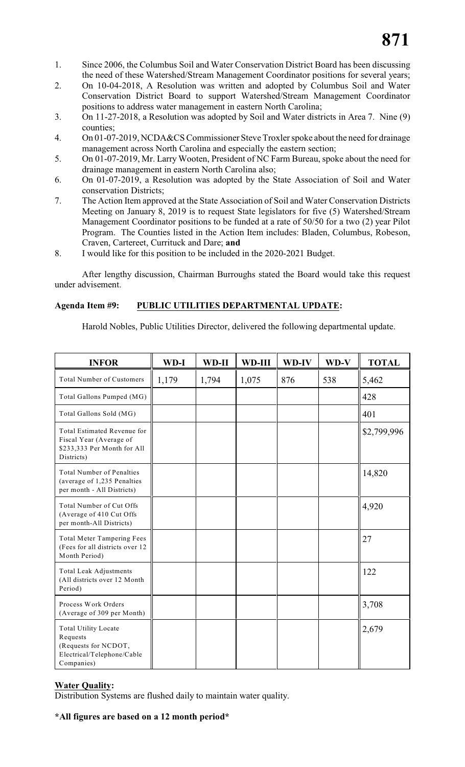- 1. Since 2006, the Columbus Soil and Water Conservation District Board has been discussing the need of these Watershed/Stream Management Coordinator positions for several years;
- 2. On 10-04-2018, A Resolution was written and adopted by Columbus Soil and Water Conservation District Board to support Watershed/Stream Management Coordinator positions to address water management in eastern North Carolina;
- 3. On 11-27-2018, a Resolution was adopted by Soil and Water districts in Area 7. Nine (9) counties;
- 4. On 01-07-2019, NCDA&CS Commissioner Steve Troxler spoke about the need for drainage management across North Carolina and especially the eastern section;
- 5. On 01-07-2019, Mr. Larry Wooten, President of NC Farm Bureau, spoke about the need for drainage management in eastern North Carolina also;
- 6. On 01-07-2019, a Resolution was adopted by the State Association of Soil and Water conservation Districts;
- 7. The Action Item approved at the State Association of Soil and Water Conservation Districts Meeting on January 8, 2019 is to request State legislators for five (5) Watershed/Stream Management Coordinator positions to be funded at a rate of 50/50 for a two (2) year Pilot Program. The Counties listed in the Action Item includes: Bladen, Columbus, Robeson, Craven, Cartereet, Currituck and Dare; **and**
- 8. I would like for this position to be included in the 2020-2021 Budget.

After lengthy discussion, Chairman Burroughs stated the Board would take this request under advisement.

# **Agenda Item #9: PUBLIC UTILITIES DEPARTMENTAL UPDATE:**

Harold Nobles, Public Utilities Director, delivered the following departmental update.

| <b>INFOR</b>                                                                                                | WD-I  | WD-II | WD-III | WD-IV | WD-V | <b>TOTAL</b> |
|-------------------------------------------------------------------------------------------------------------|-------|-------|--------|-------|------|--------------|
| <b>Total Number of Customers</b>                                                                            | 1,179 | 1,794 | 1,075  | 876   | 538  | 5,462        |
| Total Gallons Pumped (MG)                                                                                   |       |       |        |       |      | 428          |
| Total Gallons Sold (MG)                                                                                     |       |       |        |       |      | 401          |
| Total Estimated Revenue for<br>Fiscal Year (Average of<br>\$233,333 Per Month for All<br>Districts)         |       |       |        |       |      | \$2,799,996  |
| <b>Total Number of Penalties</b><br>(average of 1,235 Penalties<br>per month - All Districts)               |       |       |        |       |      | 14,820       |
| Total Number of Cut Offs<br>(Average of 410 Cut Offs<br>per month-All Districts)                            |       |       |        |       |      | 4,920        |
| <b>Total Meter Tampering Fees</b><br>(Fees for all districts over 12)<br>Month Period)                      |       |       |        |       |      | 27           |
| <b>Total Leak Adjustments</b><br>(All districts over 12 Month<br>Period)                                    |       |       |        |       |      | 122          |
| Process Work Orders<br>(Average of 309 per Month)                                                           |       |       |        |       |      | 3,708        |
| <b>Total Utility Locate</b><br>Requests<br>(Requests for NCDOT,<br>Electrical/Telephone/Cable<br>Companies) |       |       |        |       |      | 2,679        |

### **Water Quality:**

Distribution Systems are flushed daily to maintain water quality.

### **\*All figures are based on a 12 month period\***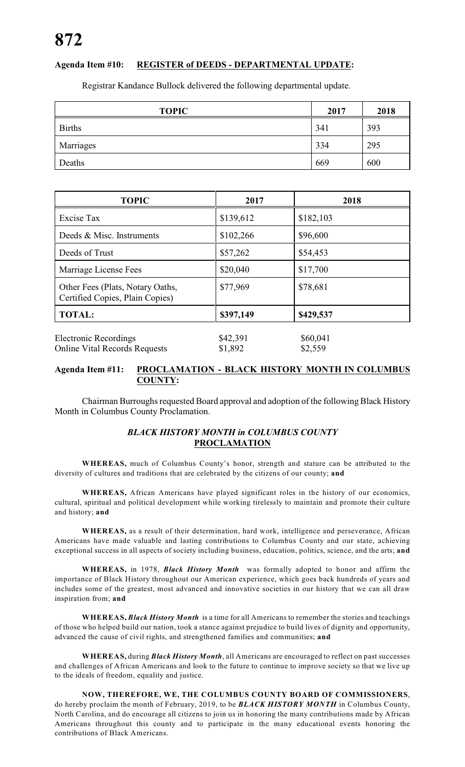# **Agenda Item #10: REGISTER of DEEDS - DEPARTMENTAL UPDATE:**

Registrar Kandance Bullock delivered the following departmental update.

| <b>TOPIC</b>  | 2017 | 2018 |
|---------------|------|------|
| <b>Births</b> | 341  | 393  |
| Marriages     | 334  | 295  |
| Deaths        | 669  | 600  |

| <b>TOPIC</b>                                                         | 2017                | 2018                |
|----------------------------------------------------------------------|---------------------|---------------------|
| <b>Excise Tax</b>                                                    | \$139,612           | \$182,103           |
| Deeds & Misc. Instruments                                            | \$102,266           | \$96,600            |
| Deeds of Trust                                                       | \$57,262            | \$54,453            |
| Marriage License Fees                                                | \$20,040            | \$17,700            |
| Other Fees (Plats, Notary Oaths,<br>Certified Copies, Plain Copies)  | \$77,969            | \$78,681            |
| <b>TOTAL:</b>                                                        | \$397,149           | \$429,537           |
| <b>Electronic Recordings</b><br><b>Online Vital Records Requests</b> | \$42,391<br>\$1,892 | \$60,041<br>\$2,559 |

### **Agenda Item #11: PROCLAMATION - BLACK HISTORY MONTH IN COLUMBUS COUNTY:**

Chairman Burroughs requested Board approval and adoption of the following Black History Month in Columbus County Proclamation.

### *BLACK HISTORY MONTH in COLUMBUS COUNTY* **PROCLAMATION**

**WHEREAS,** much of Columbus County's honor, strength and stature can be attributed to the diversity of cultures and traditions that are celebrated by the citizens of our county; **and**

**WHEREAS,** African Americans have played significant roles in the history of our economics, cultural, spiritual and political development while working tirelessly to maintain and promote their culture and history; **and**

**WHEREAS,** as a result of their determination, hard work, intelligence and perseverance, African Americans have made valuable and lasting contributions to Columbus County and our state, achieving exceptional success in all aspects of society including business, education, politics, science, and the arts; **and**

**WHEREAS,** in 1978, *Black History Month* was formally adopted to honor and affirm the importance of Black History throughout our American experience, which goes back hundreds of years and includes some of the greatest, most advanced and innovative societies in our history that we can all draw inspiration from; **and**

**WHEREAS,** *Black History Month* is a time for all Americans to remember the stories and teachings of those who helped build our nation, took a stance against prejudice to build lives of dignity and opportunity, advanced the cause of civil rights, and strengthened families and communities; **and**

**WHEREAS,** during *Black History Month*, all Americans are encouraged to reflect on past successes and challenges of African Americans and look to the future to continue to improve society so that we live up to the ideals of freedom, equality and justice.

**NOW, THEREFORE, WE, THE COLUMBUS COUNTY BOARD OF COMMISSIONERS**, do hereby proclaim the month of February, 2019, to be *BLACK HISTORY MONTH* in Columbus County, North Carolina, and do encourage all citizens to join us in honoring the many contributions made by African Americans throughout this county and to participate in the many educational events honoring the contributions of Black Americans.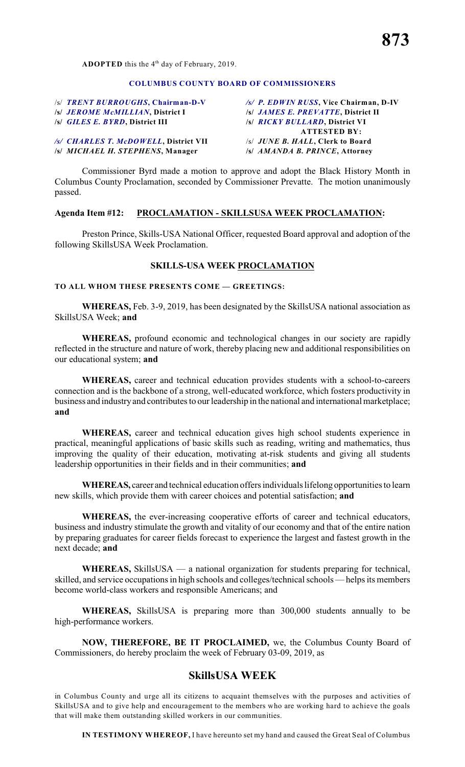#### **COLUMBUS COUNTY BOARD OF COMMISSIONERS**

**/s/** *JEROME McMILLIAN***, District I /s/** *JAMES E. PREVATTE***, District II /s/** *GILES E. BYRD***, District III /s/** *RICKY BULLARD***, District VI**

**/s/** *MICHAEL H. STEPHENS***, Manager /s/** *AMANDA B. PRINCE***, Attorney**

/s/ *TRENT BURROUGHS***, Chairman-D-V** */s/ P. EDWIN RUSS***, Vice Chairman, D-IV ATTESTED BY:** */s/ CHARLES T. McDOWELL***, District VII** /s/ *JUNE B. HALL***, Clerk to Board**

Commissioner Byrd made a motion to approve and adopt the Black History Month in Columbus County Proclamation, seconded by Commissioner Prevatte. The motion unanimously passed.

#### **Agenda Item #12: PROCLAMATION - SKILLSUSA WEEK PROCLAMATION:**

Preston Prince, Skills-USA National Officer, requested Board approval and adoption of the following SkillsUSA Week Proclamation.

#### **SKILLS-USA WEEK PROCLAMATION**

#### **TO ALL WHOM THESE PRESENTS COME — GREETINGS:**

**WHEREAS,** Feb. 3-9, 2019, has been designated by the SkillsUSA national association as SkillsUSA Week; **and**

**WHEREAS,** profound economic and technological changes in our society are rapidly reflected in the structure and nature of work, thereby placing new and additional responsibilities on our educational system; **and**

**WHEREAS,** career and technical education provides students with a school-to-careers connection and is the backbone of a strong, well-educated workforce, which fosters productivity in business and industry and contributes to our leadership in the national and international marketplace; **and**

**WHEREAS,** career and technical education gives high school students experience in practical, meaningful applications of basic skills such as reading, writing and mathematics, thus improving the quality of their education, motivating at-risk students and giving all students leadership opportunities in their fields and in their communities; **and**

**WHEREAS,** career and technical education offers individuals lifelong opportunities to learn new skills, which provide them with career choices and potential satisfaction; **and**

**WHEREAS,** the ever-increasing cooperative efforts of career and technical educators, business and industry stimulate the growth and vitality of our economy and that of the entire nation by preparing graduates for career fields forecast to experience the largest and fastest growth in the next decade; **and**

**WHEREAS,** SkillsUSA — a national organization for students preparing for technical, skilled, and service occupations in high schools and colleges/technical schools — helps its members become world-class workers and responsible Americans; and

**WHEREAS,** SkillsUSA is preparing more than 300,000 students annually to be high-performance workers.

**NOW, THEREFORE, BE IT PROCLAIMED,** we, the Columbus County Board of Commissioners, do hereby proclaim the week of February 03-09, 2019, as

# **SkillsUSA WEEK**

in Columbus County and urge all its citizens to acquaint themselves with the purposes and activities of SkillsUSA and to give help and encouragement to the members who are working hard to achieve the goals that will make them outstanding skilled workers in our communities.

**IN TESTIMONY WHEREOF,** I have hereunto set my hand and caused the Great Seal of Columbus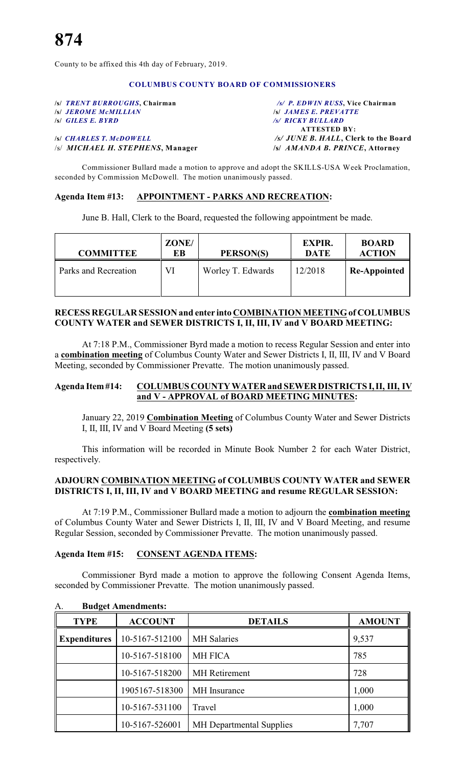County to be affixed this 4th day of February, 2019.

#### **COLUMBUS COUNTY BOARD OF COMMISSIONERS**

**/s/** *TRENT BURROUGHS***, Chairman** */s/ P. EDWIN RUSS***, Vice Chairman /s/ JEROME McMILLIAN /s/** *GILES E. BYRD /s/ RICKY BULLARD*

# /s/ *MICHAEL H. STEPHENS***, Manager /s/** *AMANDA B. PRINCE***, Attorney**

**ATTESTED BY: /s/** *CHARLES T. McDOWELL /s/ JUNE B. HALL***, Clerk to the Board**

Commissioner Bullard made a motion to approve and adopt the SKILLS-USA Week Proclamation, seconded by Commission McDowell. The motion unanimously passed.

#### **Agenda Item #13: APPOINTMENT - PARKS AND RECREATION:**

June B. Hall, Clerk to the Board, requested the following appointment be made.

| <b>COMMITTEE</b>     | ZONE/<br>EВ | PERSON(S)         | <b>EXPIR.</b><br><b>DATE</b> | <b>BOARD</b><br><b>ACTION</b> |
|----------------------|-------------|-------------------|------------------------------|-------------------------------|
| Parks and Recreation | VI          | Worley T. Edwards | 12/2018                      | <b>Re-Appointed</b>           |

#### **RECESS REGULAR SESSION and enter into COMBINATION MEETING of COLUMBUS COUNTY WATER and SEWER DISTRICTS I, II, III, IV and V BOARD MEETING:**

At 7:18 P.M., Commissioner Byrd made a motion to recess Regular Session and enter into a **combination meeting** of Columbus County Water and Sewer Districts I, II, III, IV and V Board Meeting, seconded by Commissioner Prevatte. The motion unanimously passed.

### **Agenda Item #14: COLUMBUS COUNTY WATER and SEWER DISTRICTS I, II, III, IV and V - APPROVAL of BOARD MEETING MINUTES:**

January 22, 2019 **Combination Meeting** of Columbus County Water and Sewer Districts I, II, III, IV and V Board Meeting **(5 sets)**

This information will be recorded in Minute Book Number 2 for each Water District, respectively.

### **ADJOURN COMBINATION MEETING of COLUMBUS COUNTY WATER and SEWER DISTRICTS I, II, III, IV and V BOARD MEETING and resume REGULAR SESSION:**

At 7:19 P.M., Commissioner Bullard made a motion to adjourn the **combination meeting** of Columbus County Water and Sewer Districts I, II, III, IV and V Board Meeting, and resume Regular Session, seconded by Commissioner Prevatte. The motion unanimously passed.

#### **Agenda Item #15: CONSENT AGENDA ITEMS:**

A. **Budget Amendments:**

Commissioner Byrd made a motion to approve the following Consent Agenda Items, seconded by Commissioner Prevatte. The motion unanimously passed.

| <b>TYPE</b>         | <b>ACCOUNT</b> | <b>DETAILS</b>                  | <b>AMOUNT</b> |
|---------------------|----------------|---------------------------------|---------------|
| <b>Expenditures</b> | 10-5167-512100 | <b>MH</b> Salaries              | 9,537         |
|                     | 10-5167-518100 | <b>MH FICA</b>                  | 785           |
|                     | 10-5167-518200 | <b>MH</b> Retirement            | 728           |
|                     | 1905167-518300 | MH Insurance                    | 1,000         |
|                     | 10-5167-531100 | Travel                          | 1,000         |
|                     | 10-5167-526001 | <b>MH</b> Departmental Supplies | 7,707         |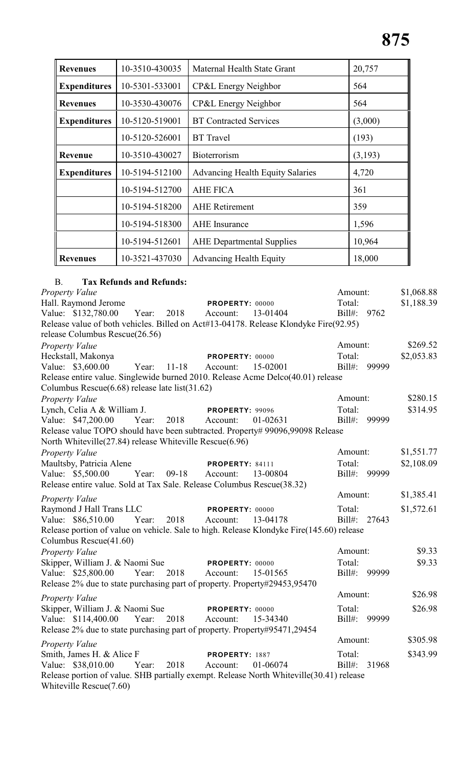| <b>Revenues</b>     | 10-3510-430035 | Maternal Health State Grant             | 20,757  |
|---------------------|----------------|-----------------------------------------|---------|
| <b>Expenditures</b> | 10-5301-533001 | CP&L Energy Neighbor                    | 564     |
| <b>Revenues</b>     | 10-3530-430076 | CP&L Energy Neighbor                    | 564     |
| <b>Expenditures</b> | 10-5120-519001 | <b>BT</b> Contracted Services           | (3,000) |
|                     | 10-5120-526001 | <b>BT</b> Travel                        | (193)   |
| Revenue             | 10-3510-430027 | <b>Bioterrorism</b>                     | (3,193) |
| <b>Expenditures</b> | 10-5194-512100 | <b>Advancing Health Equity Salaries</b> | 4,720   |
|                     | 10-5194-512700 | <b>AHE FICA</b>                         | 361     |
|                     | 10-5194-518200 | <b>AHE</b> Retirement                   | 359     |
|                     | 10-5194-518300 | <b>AHE</b> Insurance                    | 1,596   |
|                     | 10-5194-512601 | <b>AHE</b> Departmental Supplies        | 10,964  |
| <b>Revenues</b>     | 10-3521-437030 | <b>Advancing Health Equity</b>          | 18,000  |

# B. **Tax Refunds and Refunds:**

| Property Value                                                                           |                      | Amount:            | \$1,068.88 |
|------------------------------------------------------------------------------------------|----------------------|--------------------|------------|
| Hall. Raymond Jerome                                                                     | PROPERTY: 00000      | Total:             | \$1,188.39 |
| Value: \$132,780.00<br>Year:<br>2018                                                     | 13-01404<br>Account: | Bill#:<br>9762     |            |
| Release value of both vehicles. Billed on Act#13-04178. Release Klondyke Fire(92.95)     |                      |                    |            |
| release Columbus Rescue(26.56)                                                           |                      |                    |            |
| Property Value                                                                           |                      | Amount:            | \$269.52   |
| Heckstall, Makonya                                                                       | PROPERTY: 00000      | Total:             | \$2,053.83 |
| Value: \$3,600.00<br>Year: 11-18                                                         | 15-02001<br>Account: | $Bill#$ :<br>99999 |            |
| Release entire value. Singlewide burned 2010. Release Acme Delco(40.01) release          |                      |                    |            |
| Columbus Rescue(6.68) release late list(31.62)                                           |                      |                    |            |
| <b>Property Value</b>                                                                    |                      | Amount:            | \$280.15   |
| Lynch, Celia A & William J.                                                              | PROPERTY: 99096      | Total:             | \$314.95   |
| Year:<br>Value: \$47,200.00<br>2018                                                      | Account:<br>01-02631 | Bill#:<br>99999    |            |
| Release value TOPO should have been subtracted. Property# 99096,99098 Release            |                      |                    |            |
| North Whiteville(27.84) release Whiteville Rescue(6.96)                                  |                      |                    |            |
| Property Value                                                                           |                      | Amount:            | \$1,551.77 |
| Maultsby, Patricia Alene                                                                 | PROPERTY: 84111      | Total:             | \$2,108.09 |
| Value: \$5,500.00<br>Year:<br>$09-18$                                                    | 13-00804<br>Account: | $Bill#$ :<br>99999 |            |
| Release entire value. Sold at Tax Sale. Release Columbus Rescue(38.32)                   |                      |                    |            |
| Property Value                                                                           |                      | Amount:            | \$1,385.41 |
| Raymond J Hall Trans LLC                                                                 | PROPERTY: 00000      | Total:             | \$1,572.61 |
| Value: \$86,510.00<br>Year:<br>2018                                                      | Account:<br>13-04178 | Bill#:<br>27643    |            |
| Release portion of value on vehicle. Sale to high. Release Klondyke Fire(145.60) release |                      |                    |            |
| Columbus Rescue(41.60)                                                                   |                      |                    |            |
| Property Value                                                                           |                      | Amount:            | \$9.33     |
| Skipper, William J. & Naomi Sue                                                          | PROPERTY: 00000      | Total:             | \$9.33     |
| Value: \$25,800.00<br>Year:<br>2018                                                      | 15-01565<br>Account: | Bill#: 99999       |            |
| Release 2% due to state purchasing part of property. Property#29453,95470                |                      |                    |            |
| <b>Property Value</b>                                                                    |                      | Amount:            | \$26.98    |
| Skipper, William J. & Naomi Sue                                                          | PROPERTY: 00000      | Total:             | \$26.98    |
| Value: \$114,400.00 Year: 2018                                                           | 15-34340<br>Account: | Bill#:<br>99999    |            |
| Release 2% due to state purchasing part of property. Property#95471,29454                |                      |                    |            |
| <b>Property Value</b>                                                                    |                      | Amount:            | \$305.98   |
| Smith, James H. & Alice F                                                                | PROPERTY: 1887       | Total:             | \$343.99   |
| Value: \$38,010.00<br>2018<br>Year:                                                      | 01-06074<br>Account: | Bill#:<br>31968    |            |
| Release portion of value. SHB partially exempt. Release North Whiteville(30.41) release  |                      |                    |            |
| Whiteville Rescue(7.60)                                                                  |                      |                    |            |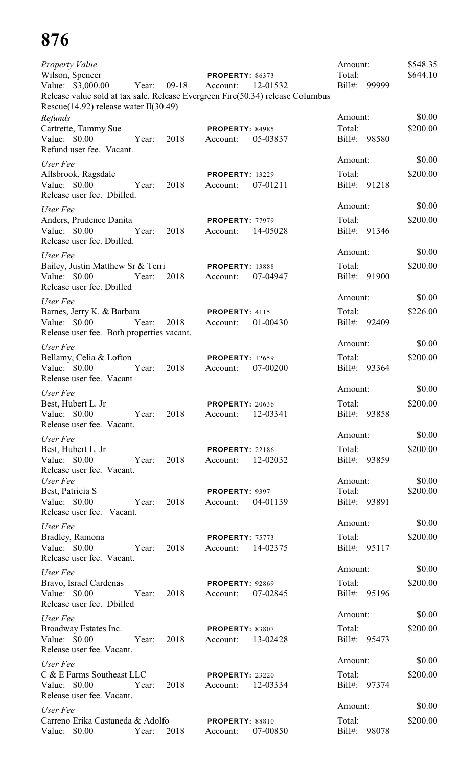| <b>Property Value</b><br>Wilson, Spencer<br>Value: \$3,000.00<br>Release value sold at tax sale. Release Evergreen Fire(50.34) release Columbus<br>Rescue $(14.92)$ release water II $(30.49)$<br>Refunds | Year: | $09-18$ | PROPERTY: 86373<br>Account:        | 12-01532 | Amount:<br>Total:<br>$Bill#$ :<br>Amount: | 99999 | \$548.35<br>\$644.10<br>\$0.00 |
|-----------------------------------------------------------------------------------------------------------------------------------------------------------------------------------------------------------|-------|---------|------------------------------------|----------|-------------------------------------------|-------|--------------------------------|
| Cartrette, Tammy Sue<br>Value: \$0.00<br>Refund user fee. Vacant.                                                                                                                                         | Year: | 2018    | <b>PROPERTY: 84985</b><br>Account: | 05-03837 | Total:<br>$Bill#$ :                       | 98580 | \$200.00                       |
| User Fee                                                                                                                                                                                                  |       |         |                                    |          | Amount:                                   |       | \$0.00                         |
| Allsbrook, Ragsdale<br>Value: \$0.00<br>Release user fee. Dbilled.                                                                                                                                        | Year: | 2018    | <b>PROPERTY: 13229</b><br>Account: | 07-01211 | Total:<br>$Bill#$ :                       | 91218 | \$200.00                       |
| User Fee                                                                                                                                                                                                  |       |         |                                    |          | Amount:                                   |       | \$0.00                         |
| Anders, Prudence Danita<br>Value: \$0.00<br>Release user fee. Dbilled.                                                                                                                                    | Year: | 2018    | <b>PROPERTY: 77979</b><br>Account: | 14-05028 | Total:<br>$Bill#$ :                       | 91346 | \$200.00                       |
| User Fee                                                                                                                                                                                                  |       |         |                                    |          | Amount:                                   |       | \$0.00                         |
| Bailey, Justin Matthew Sr & Terri<br>Value: \$0.00<br>Release user fee. Dbilled                                                                                                                           | Year: | 2018    | <b>PROPERTY: 13888</b><br>Account: | 07-04947 | Total:<br>$Bill#$ :                       | 91900 | \$200.00                       |
| User Fee                                                                                                                                                                                                  |       |         |                                    |          | Amount:                                   |       | \$0.00                         |
| Barnes, Jerry K. & Barbara<br>Value: \$0.00<br>Release user fee. Both properties vacant.                                                                                                                  | Year: | 2018    | PROPERTY: 4115<br>Account:         | 01-00430 | Total:<br>$Bill#$ :                       | 92409 | \$226.00                       |
| User Fee                                                                                                                                                                                                  |       |         |                                    |          | Amount:                                   |       | \$0.00                         |
| Bellamy, Celia & Lofton<br>Value: \$0.00<br>Release user fee. Vacant                                                                                                                                      | Year: | 2018    | <b>PROPERTY: 12659</b><br>Account: | 07-00200 | Total:<br>Bill#:                          | 93364 | \$200.00                       |
| User Fee                                                                                                                                                                                                  |       |         |                                    |          | Amount:                                   |       | \$0.00                         |
| Best, Hubert L. Jr<br>Value: \$0.00<br>Release user fee. Vacant.                                                                                                                                          | Year: | 2018    | <b>PROPERTY: 20636</b><br>Account: | 12-03341 | Total:<br>$Bill#$ :                       | 93858 | \$200.00                       |
| User Fee                                                                                                                                                                                                  |       |         |                                    |          | Amount:                                   |       | \$0.00                         |
| Best, Hubert L. Jr<br>Value: \$0.00<br>Release user fee. Vacant.                                                                                                                                          | Year: | 2018    | <b>PROPERTY: 22186</b><br>Account: | 12-02032 | Total:<br>$Bill#$ :                       | 93859 | \$200.00                       |
| User Fee                                                                                                                                                                                                  |       |         |                                    |          | Amount:                                   |       | \$0.00                         |
| Best, Patricia S<br>Value: $$0.00$<br>Release user fee. Vacant.                                                                                                                                           | Year: | 2018    | PROPERTY: 9397<br>Account:         | 04-01139 | Total:<br>Bill#: 93891                    |       | \$200.00                       |
| User Fee                                                                                                                                                                                                  |       |         |                                    |          | Amount:                                   |       | \$0.00                         |
| Bradley, Ramona<br>Value: $$0.00$<br>Release user fee. Vacant.                                                                                                                                            | Year: | 2018    | PROPERTY: 75773<br>Account:        | 14-02375 | Total:<br>Bill#: 95117                    |       | \$200.00                       |
| User Fee                                                                                                                                                                                                  |       |         |                                    |          | Amount:                                   |       | \$0.00                         |
| Bravo, Israel Cardenas<br>Value: \$0.00<br>Release user fee. Dbilled                                                                                                                                      | Year: | 2018    | PROPERTY: 92869<br>Account:        | 07-02845 | Total:<br>Bill#: 95196                    |       | \$200.00                       |
| User Fee                                                                                                                                                                                                  |       |         |                                    |          | Amount:                                   |       | \$0.00                         |
| Broadway Estates Inc.<br>Value: \$0.00<br>Release user fee. Vacant.                                                                                                                                       | Year: | 2018    | PROPERTY: 83807<br>Account:        | 13-02428 | Total:<br>Bill#: 95473                    |       | \$200.00                       |
| User Fee                                                                                                                                                                                                  |       |         |                                    |          | Amount:                                   |       | \$0.00                         |
| C & E Farms Southeast LLC<br>Value: \$0.00<br>Release user fee. Vacant.                                                                                                                                   | Year: | 2018    | <b>PROPERTY: 23220</b><br>Account: | 12-03334 | Total:<br>Bill#: 97374                    |       | \$200.00                       |
| User Fee                                                                                                                                                                                                  |       |         |                                    |          | Amount:                                   |       | \$0.00                         |
| Carreno Erika Castaneda & Adolfo<br>Value: \$0.00                                                                                                                                                         | Year: | 2018    | PROPERTY: 88810<br>Account:        | 07-00850 | Total:<br>$Bill#$ :                       | 98078 | \$200.00                       |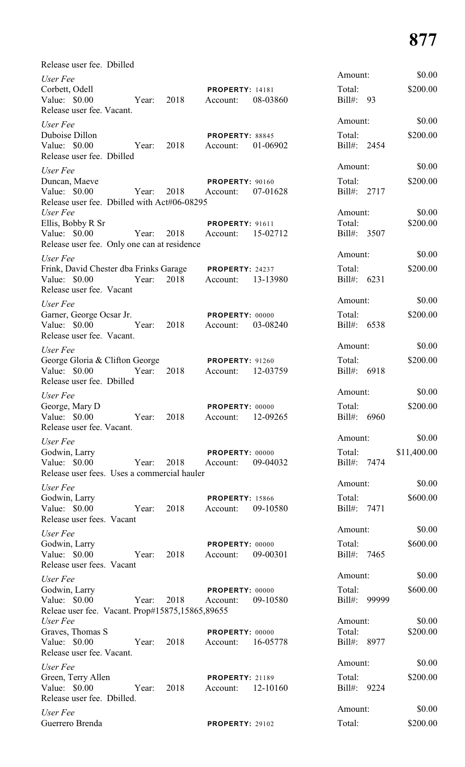| Release user fee. Dbilled                                                                                                 |      |                                                           |                                   |                       |
|---------------------------------------------------------------------------------------------------------------------------|------|-----------------------------------------------------------|-----------------------------------|-----------------------|
| User Fee<br>Corbett, Odell<br>Value: \$0.00<br>Year:<br>Release user fee. Vacant.                                         | 2018 | <b>PROPERTY: 14181</b><br>08-03860<br>Account:            | Amount:<br>Total:<br>Bill#: 93    | \$0.00<br>\$200.00    |
| User Fee<br>Duboise Dillon<br>Value: \$0.00<br>Year:<br>Release user fee. Dbilled                                         | 2018 | <b>PROPERTY: 88845</b><br>Account:<br>01-06902            | Amount:<br>Total:<br>Bill#: 2454  | \$0.00<br>\$200.00    |
| User Fee<br>Duncan, Maeve<br>Value: \$0.00<br>Year:<br>Release user fee. Dbilled with Act#06-08295                        | 2018 | <b>PROPERTY: 90160</b><br>07-01628<br>Account:            | Amount:<br>Total:<br>Bill#: 2717  | \$0.00<br>\$200.00    |
| User Fee<br>Ellis, Bobby R Sr<br>Value: \$0.00<br>Year:<br>Release user fee. Only one can at residence                    | 2018 | <b>PROPERTY: 91611</b><br>Account: 15-02712               | Amount:<br>Total:<br>Bill#: 3507  | \$0.00<br>\$200.00    |
| User Fee<br>Frink, David Chester dba Frinks Garage PROPERTY: 24237<br>Value: $$0.00$<br>Year:<br>Release user fee. Vacant | 2018 | Account: 13-13980                                         | Amount:<br>Total:<br>Bill#: 6231  | \$0.00<br>\$200.00    |
| User Fee<br>Garner, George Ocsar Jr.<br>Value: $$0.00$<br>Year:<br>Release user fee. Vacant.                              | 2018 | PROPERTY: 00000<br>03-08240<br>Account:                   | Amount:<br>Total:<br>Bill#: 6538  | \$0.00<br>\$200.00    |
| User Fee<br>George Gloria & Clifton George<br>Value: $$0.00$<br>Year:<br>Release user fee. Dbilled                        | 2018 | <b>PROPERTY: 91260</b><br>12-03759<br>Account:            | Amount:<br>Total:<br>Bill#: 6918  | \$0.00<br>\$200.00    |
| User Fee<br>George, Mary D<br>Value: \$0.00 Year: 2018<br>Release user fee. Vacant.                                       |      | PROPERTY: 00000<br>12-09265<br>Account:                   | Amount:<br>Total:<br>Bill#: 6960  | \$0.00<br>\$200.00    |
| User Fee<br>Godwin, Larry<br>Value: \$0.00<br>Year: 2018<br>Release user fees. Uses a commercial hauler                   |      | <b>PROPERTY: 00000</b><br>09-04032<br>Account:            | Amount:<br>Total:<br>Bill#: 7474  | \$0.00<br>\$11,400.00 |
| User Fee<br>Godwin, Larry<br>Value: \$0.00<br>Year: 2018<br>Release user fees. Vacant                                     |      | <b>PROPERTY: 15866</b><br>09-10580<br>Account:            | Amount:<br>Total:<br>Bill#: 7471  | \$0.00<br>\$600.00    |
| User Fee<br>Godwin, Larry<br>Value: \$0.00<br>Release user fees. Vacant                                                   |      | <b>PROPERTY: 00000</b><br>Year: 2018 Account:<br>09-00301 | Amount:<br>Total:<br>Bill#: 7465  | \$0.00<br>\$600.00    |
| User Fee<br>Godwin, Larry<br>Value: \$0.00<br>Year: 2018 Account:<br>Releae user fee. Vacant. Prop#15875,15865,89655      |      | <b>PROPERTY: 00000</b><br>09-10580                        | Amount:<br>Total:<br>Bill#: 99999 | \$0.00<br>\$600.00    |
| User Fee<br>Graves, Thomas S<br>Value: \$0.00 Year:<br>Release user fee. Vacant.                                          | 2018 | PROPERTY: 00000<br>Account: 16-05778                      | Amount:<br>Total:<br>Bill#: 8977  | \$0.00<br>\$200.00    |
| User Fee<br>Green, Terry Allen<br>Value: $$0.00$<br>Year:<br>Release user fee. Dbilled.                                   | 2018 | <b>PROPERTY: 21189</b><br>12-10160<br>Account:            | Amount:<br>Total:<br>Bill#: 9224  | \$0.00<br>\$200.00    |
| User Fee<br>Guerrero Brenda                                                                                               |      | PROPERTY: 29102                                           | Amount:<br>Total:                 | \$0.00<br>\$200.00    |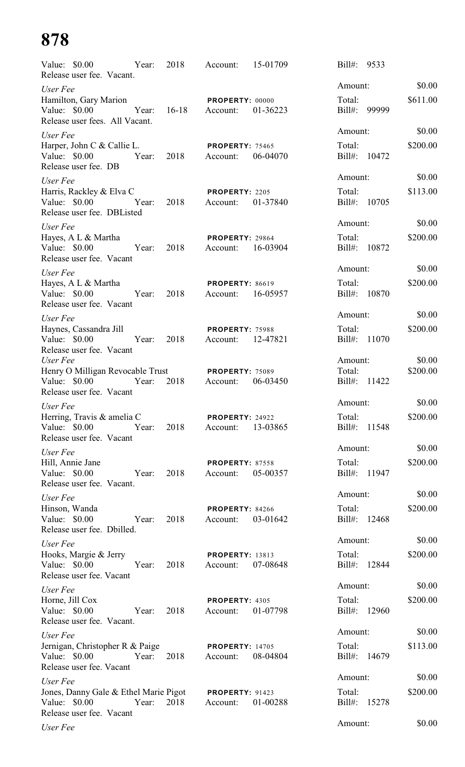| Value: \$0.00<br>Release user fee. Vacant.                                         | Year: | 2018    | Account:                           | 15-01709 | $Bill#$ :              | 9533  |          |
|------------------------------------------------------------------------------------|-------|---------|------------------------------------|----------|------------------------|-------|----------|
| User Fee                                                                           |       |         |                                    |          | Amount:                |       | \$0.00   |
| Hamilton, Gary Marion<br>Value: \$0.00<br>Release user fees. All Vacant.           | Year: | $16-18$ | <b>PROPERTY: 00000</b><br>Account: | 01-36223 | Total:<br>$Bill#$ :    | 99999 | \$611.00 |
| User Fee                                                                           |       |         |                                    |          | Amount:                |       | \$0.00   |
| Harper, John C & Callie L.<br>Value: \$0.00<br>Release user fee. DB                | Year: | 2018    | PROPERTY: 75465<br>Account:        | 06-04070 | Total:<br>Bill#:       | 10472 | \$200.00 |
| User Fee                                                                           |       |         |                                    |          | Amount:                |       | \$0.00   |
| Harris, Rackley & Elva C<br>Value: \$0.00<br>Release user fee. DBListed            | Year: | 2018    | PROPERTY: 2205<br>Account:         | 01-37840 | Total:<br>Bill#: 10705 |       | \$113.00 |
| User Fee                                                                           |       |         |                                    |          | Amount:                |       | \$0.00   |
| Hayes, A L & Martha<br>Value: $$0.00$<br>Release user fee. Vacant                  | Year: | 2018    | <b>PROPERTY: 29864</b><br>Account: | 16-03904 | Total:<br>Bill#: 10872 |       | \$200.00 |
| User Fee                                                                           |       |         |                                    |          | Amount:                |       | \$0.00   |
| Hayes, A L & Martha<br>Value: $$0.00$<br>Release user fee. Vacant                  | Year: | 2018    | <b>PROPERTY: 86619</b><br>Account: | 16-05957 | Total:<br>Bill#:       | 10870 | \$200.00 |
| User Fee                                                                           |       |         |                                    |          | Amount:                |       | \$0.00   |
| Haynes, Cassandra Jill<br>Value: \$0.00<br>Release user fee. Vacant                | Year: | 2018    | <b>PROPERTY: 75988</b><br>Account: | 12-47821 | Total:<br>Bill#:       | 11070 | \$200.00 |
| User Fee                                                                           |       |         |                                    |          | Amount:                |       | \$0.00   |
| Henry O Milligan Revocable Trust<br>Value: \$0.00<br>Release user fee. Vacant      | Year: | 2018    | <b>PROPERTY: 75089</b><br>Account: | 06-03450 | Total:<br>Bill#: 11422 |       | \$200.00 |
| User Fee                                                                           |       |         |                                    |          | Amount:                |       | \$0.00   |
| Herring, Travis & amelia C<br>Value: \$0.00<br>Release user fee. Vacant            | Year: | 2018    | PROPERTY: 24922<br>Account:        | 13-03865 | Total:<br>Bill#: 11548 |       | \$200.00 |
| User Fee                                                                           |       |         |                                    |          | Amount:                |       | \$0.00   |
| Hill, Annie Jane<br>Value: \$0.00<br>Release user fee. Vacant.                     | Year: | 2018    | <b>PROPERTY: 87558</b><br>Account: | 05-00357 | Total:<br>Bill#: 11947 |       | \$200.00 |
| User Fee                                                                           |       |         |                                    |          | Amount:                |       | \$0.00   |
| Hinson, Wanda<br>Value: \$0.00<br>Release user fee. Dbilled.                       | Year: | 2018    | PROPERTY: 84266<br>Account:        | 03-01642 | Total:<br>Bill#: 12468 |       | \$200.00 |
| User Fee                                                                           |       |         |                                    |          | Amount:                |       | \$0.00   |
| Hooks, Margie & Jerry<br>Value: \$0.00<br>Release user fee. Vacant                 | Year: | 2018    | <b>PROPERTY: 13813</b><br>Account: | 07-08648 | Total:<br>Bill#: 12844 |       | \$200.00 |
| User Fee                                                                           |       |         |                                    |          | Amount:                |       | \$0.00   |
| Horne, Jill Cox<br>Value: \$0.00<br>Release user fee. Vacant.                      | Year: | 2018    | PROPERTY: 4305<br>Account:         | 01-07798 | Total:<br>Bill#:       | 12960 | \$200.00 |
| User Fee                                                                           |       |         |                                    |          | Amount:                |       | \$0.00   |
| Jernigan, Christopher R & Paige<br>Value: \$0.00<br>Release user fee. Vacant       | Year: | 2018    | <b>PROPERTY: 14705</b><br>Account: | 08-04804 | Total:<br>Bill#: 14679 |       | \$113.00 |
| User Fee                                                                           |       |         |                                    |          | Amount:                |       | \$0.00   |
| Jones, Danny Gale & Ethel Marie Pigot<br>Value: \$0.00<br>Release user fee. Vacant | Year: | 2018    | <b>PROPERTY: 91423</b><br>Account: | 01-00288 | Total:<br>Bill#:       | 15278 | \$200.00 |
| User Fee                                                                           |       |         |                                    |          | Amount:                |       | \$0.00   |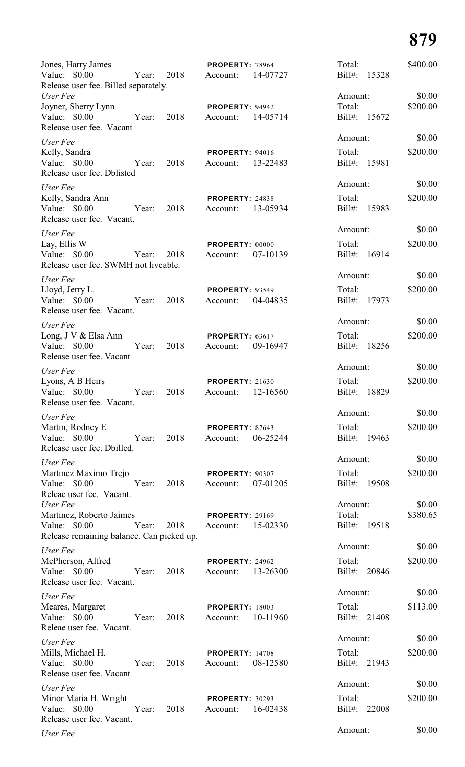| Jones, Harry James<br>Value: \$0.00<br>Year: 2018                                                    | PROPERTY: 78964<br>14-07727<br>Account:        | Total:<br>Bill#:<br>15328    | \$400.00 |
|------------------------------------------------------------------------------------------------------|------------------------------------------------|------------------------------|----------|
| Release user fee. Billed separately.<br>User Fee                                                     |                                                | Amount:                      | \$0.00   |
| Joyner, Sherry Lynn<br>Value: \$0.00<br>2018<br>Year:                                                | PROPERTY: 94942<br>14-05714<br>Account:        | Total:<br>Bill#: 15672       | \$200.00 |
| Release user fee. Vacant                                                                             |                                                |                              |          |
| User Fee                                                                                             |                                                | Amount:                      | \$0.00   |
| Kelly, Sandra<br>Value: \$0.00<br>2018<br>Year:<br>Release user fee. Dblisted                        | <b>PROPERTY: 94016</b><br>Account:<br>13-22483 | Total:<br>Bill#: 15981       | \$200.00 |
| User Fee                                                                                             |                                                | Amount:                      | \$0.00   |
| Kelly, Sandra Ann<br>Value: \$0.00<br>2018<br>Year:<br>Release user fee. Vacant.                     | PROPERTY: 24838<br>13-05934<br>Account:        | Total:<br>Bill#:<br>15983    | \$200.00 |
| User Fee                                                                                             |                                                | Amount:                      | \$0.00   |
| Lay, Ellis W<br>Value: \$0.00<br>2018<br>Year:<br>Release user fee. SWMH not liveable.               | PROPERTY: 00000<br>07-10139<br>Account:        | Total:<br>Bill#: 16914       | \$200.00 |
| User Fee                                                                                             |                                                | Amount:                      | \$0.00   |
| Lloyd, Jerry L.<br>Value: \$0.00<br>2018<br>Year:<br>Release user fee. Vacant.                       | <b>PROPERTY: 93549</b><br>Account:<br>04-04835 | Total:<br>Bill#: 17973       | \$200.00 |
| User Fee                                                                                             |                                                | Amount:                      | \$0.00   |
| Long, J V & Elsa Ann<br>Value: \$0.00<br>2018<br>Year:<br>Release user fee. Vacant                   | PROPERTY: 63617<br>09-16947<br>Account:        | Total:<br>Bill#:<br>18256    | \$200.00 |
|                                                                                                      |                                                | Amount:                      | \$0.00   |
| User Fee<br>Lyons, A B Heirs<br>Value: \$0.00<br>Year:<br>2018<br>Release user fee. Vacant.          | <b>PROPERTY: 21630</b><br>12-16560<br>Account: | Total:<br>$Bill#$ :<br>18829 | \$200.00 |
| User Fee                                                                                             |                                                | Amount:                      | \$0.00   |
| Martin, Rodney E<br>Value: \$0.00 Year: 2018<br>Release user fee. Dbilled.                           | PROPERTY: 87643<br>06-25244<br>Account:        | Total:<br>Bill#: 19463       | \$200.00 |
|                                                                                                      |                                                | Amount:                      | \$0.00   |
| User Fee<br>Martinez Maximo Trejo<br>Value: \$0.00<br>Year:<br>2018<br>Releae user fee. Vacant.      | PROPERTY: 90307<br>Account: 07-01205           | Total:<br>Bill#: 19508       | \$200.00 |
| User Fee                                                                                             |                                                | Amount:                      | \$0.00   |
| Martinez, Roberto Jaimes<br>Value: \$0.00<br>Year: 2018<br>Release remaining balance. Can picked up. | <b>PROPERTY: 29169</b><br>Account: 15-02330    | Total:<br>Bill#: 19518       | \$380.65 |
| User Fee                                                                                             |                                                | Amount:                      | \$0.00   |
| McPherson, Alfred<br>Value: \$0.00<br>Year: 2018<br>Release user fee. Vacant.                        | <b>PROPERTY: 24962</b><br>Account: 13-26300    | Total:<br>Bill#: 20846       | \$200.00 |
| User Fee                                                                                             |                                                | Amount:                      | \$0.00   |
| Meares, Margaret<br>Value: \$0.00<br>Year: 2018<br>Releae user fee. Vacant.                          | <b>PROPERTY: 18003</b><br>Account: 10-11960    | Total:<br>Bill#: 21408       | \$113.00 |
|                                                                                                      |                                                | Amount:                      | \$0.00   |
| User Fee<br>Mills, Michael H.<br>Value: \$0.00<br>Year: 2018<br>Release user fee. Vacant             | <b>PROPERTY: 14708</b><br>Account: 08-12580    | Total:<br>Bill#: 21943       | \$200.00 |
| User Fee                                                                                             |                                                | Amount:                      | \$0.00   |
| Minor Maria H. Wright<br>Year: 2018<br>Value: \$0.00<br>Release user fee. Vacant.                    | <b>PROPERTY: 30293</b><br>Account: 16-02438    | Total:<br>Bill#: 22008       | \$200.00 |
| User Fee                                                                                             |                                                | Amount:                      | \$0.00   |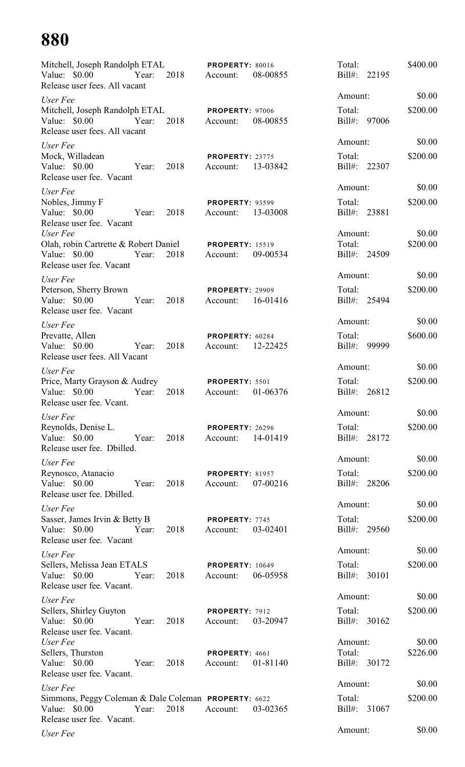| Mitchell, Joseph Randolph ETAL<br>Value: \$0.00<br>Release user fees. All vacant                                   | Year: | 2018 | PROPERTY: 80016<br>Account:        | 08-00855 | Total:<br>$Bill#$ :               | 22195 | \$400.00           |
|--------------------------------------------------------------------------------------------------------------------|-------|------|------------------------------------|----------|-----------------------------------|-------|--------------------|
| User Fee                                                                                                           |       |      |                                    |          | Amount:                           |       | \$0.00             |
| Mitchell, Joseph Randolph ETAL<br>Value: \$0.00<br>Release user fees. All vacant                                   | Year: | 2018 | PROPERTY: 97006<br>Account:        | 08-00855 | Total:<br>$Bill#$ :               | 97006 | \$200.00           |
| User Fee                                                                                                           |       |      |                                    |          | Amount:                           |       | \$0.00             |
| Mock, Willadean<br>Value: \$0.00<br>Release user fee. Vacant                                                       | Year: | 2018 | <b>PROPERTY: 23775</b><br>Account: | 13-03842 | Total:<br>Bill#: 22307            |       | \$200.00           |
| User Fee                                                                                                           |       |      |                                    |          | Amount:                           |       | \$0.00             |
| Nobles, Jimmy F<br>Value: \$0.00<br>Year:<br>Release user fee. Vacant                                              |       | 2018 | <b>PROPERTY: 93599</b><br>Account: | 13-03008 | Total:<br>Bill#: 23881            |       | \$200.00           |
| User Fee                                                                                                           |       |      |                                    |          | Amount:                           |       | \$0.00             |
| Olah, robin Cartrette & Robert Daniel PROPERTY: 15519<br>Value: $$0.00$<br>Release user fee. Vacant                | Year: | 2018 | Account:                           | 09-00534 | Total:<br>Bill#: 24509            |       | \$200.00           |
| User Fee                                                                                                           |       |      |                                    |          | Amount:                           |       | \$0.00             |
| Peterson, Sherry Brown<br>Value: $$0.00$<br>Release user fee. Vacant                                               | Year: | 2018 | <b>PROPERTY: 29909</b><br>Account: | 16-01416 | Total:<br>Bill#: 25494            |       | \$200.00           |
| User Fee                                                                                                           |       |      |                                    |          | Amount:                           |       | \$0.00             |
| Prevatte, Allen<br>Value: $$0.00$                                                                                  | Year: | 2018 | PROPERTY: 60284<br>Account:        | 12-22425 | Total:<br>Bill#: 99999            |       | \$600.00           |
| Release user fees. All Vacant                                                                                      |       |      |                                    |          | Amount:                           |       | \$0.00             |
| User Fee<br>Price, Marty Grayson & Audrey<br>Value: \$0.00<br>Release user fee. Vcant.                             | Year: | 2018 | PROPERTY: 5501<br>Account:         | 01-06376 | Total:<br>Bill#: 26812            |       | \$200.00           |
| User Fee                                                                                                           |       |      |                                    |          | Amount:                           |       | \$0.00             |
| Reynolds, Denise L.<br>Value: \$0.00<br>Release user fee. Dbilled.                                                 | Year: | 2018 | <b>PROPERTY: 26296</b><br>Account: | 14-01419 | Total:<br>Bill#: 28172            |       | \$200.00           |
| User Fee                                                                                                           |       |      |                                    |          | Amount:                           |       | \$0.00             |
| Reynosco, Atanacio<br>Value: \$0.00<br>Year:<br>Release user fee. Dbilled.                                         |       | 2018 | <b>PROPERTY: 81957</b><br>Account: | 07-00216 | Total:<br>Bill#: 28206            |       | \$200.00           |
| User Fee                                                                                                           |       |      |                                    |          | Amount:                           |       | \$0.00             |
| Sasser, James Irvin & Betty B<br>Value: \$0.00<br>Year:<br>Release user fee. Vacant                                |       | 2018 | PROPERTY: 7745<br>Account:         | 03-02401 | Total:<br>Bill#: 29560            |       | \$200.00           |
| User Fee                                                                                                           |       |      |                                    |          | Amount:                           |       | \$0.00             |
| Sellers, Melissa Jean ETALS<br>Value: \$0.00<br>Release user fee. Vacant.                                          | Year: | 2018 | <b>PROPERTY: 10649</b><br>Account: | 06-05958 | Total:<br>Bill#: 30101            |       | \$200.00           |
| User Fee                                                                                                           |       |      |                                    |          | Amount:                           |       | \$0.00             |
| Sellers, Shirley Guyton<br>Value: $$0.00$                                                                          | Year: | 2018 | PROPERTY: 7912<br>Account:         | 03-20947 | Total:<br>Bill#: 30162            |       | \$200.00           |
| Release user fee. Vacant.<br>User Fee<br>Sellers, Thurston<br>Value: $$0.00$<br>Year:<br>Release user fee. Vacant. |       | 2018 | PROPERTY: 4661<br>Account:         | 01-81140 | Amount:<br>Total:<br>Bill#: 30172 |       | \$0.00<br>\$226.00 |
| User Fee                                                                                                           |       |      |                                    |          | Amount:                           |       | \$0.00             |
| Simmons, Peggy Coleman & Dale Coleman PROPERTY: 6622<br>Value: \$0.00<br>Release user fee. Vacant.                 | Year: | 2018 | Account:                           | 03-02365 | Total:<br>Bill#: 31067            |       | \$200.00           |
| User Fee                                                                                                           |       |      |                                    |          | Amount:                           |       | \$0.00             |
|                                                                                                                    |       |      |                                    |          |                                   |       |                    |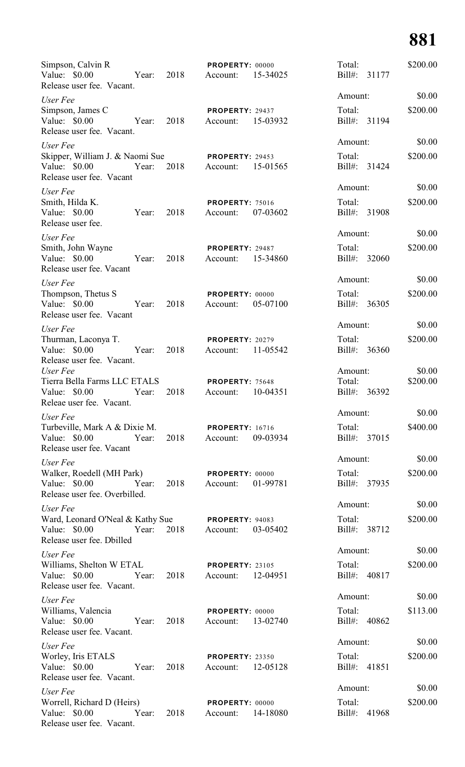| Simpson, Calvin R<br>Value: \$0.00<br>Year:<br>Release user fee. Vacant.                          | 2018 | PROPERTY: 00000<br>Account:        | 15-34025 | Total:<br>Bill#:                  | 31177 | \$200.00           |
|---------------------------------------------------------------------------------------------------|------|------------------------------------|----------|-----------------------------------|-------|--------------------|
| User Fee                                                                                          |      |                                    |          | Amount:                           |       | \$0.00             |
| Simpson, James C<br>Value: \$0.00<br>Year:<br>Release user fee. Vacant.                           | 2018 | PROPERTY: 29437<br>Account:        | 15-03932 | Total:<br>Bill#: 31194            |       | \$200.00           |
| User Fee<br>Skipper, William J. & Naomi Sue<br>Value: \$0.00<br>Year:<br>Release user fee. Vacant | 2018 | <b>PROPERTY: 29453</b><br>Account: | 15-01565 | Amount:<br>Total:<br>Bill#: 31424 |       | \$0.00<br>\$200.00 |
| User Fee                                                                                          |      |                                    |          | Amount:                           |       | \$0.00             |
| Smith, Hilda K.<br>Value: \$0.00<br>Year:<br>Release user fee.                                    | 2018 | <b>PROPERTY: 75016</b><br>Account: | 07-03602 | Total:<br>Bill#:                  | 31908 | \$200.00           |
| User Fee                                                                                          |      |                                    |          | Amount:                           |       | \$0.00             |
| Smith, John Wayne<br>Value: \$0.00<br>Year:<br>Release user fee. Vacant                           | 2018 | <b>PROPERTY: 29487</b><br>Account: | 15-34860 | Total:<br>$Bill#$ :               | 32060 | \$200.00           |
| User Fee                                                                                          |      |                                    |          | Amount:                           |       | \$0.00             |
| Thompson, Thetus S<br>Value: \$0.00<br>Year:<br>Release user fee. Vacant                          | 2018 | PROPERTY: 00000<br>Account:        | 05-07100 | Total:<br>$Bill#$ :               | 36305 | \$200.00           |
| User Fee                                                                                          |      |                                    |          | Amount:                           |       | \$0.00             |
| Thurman, Laconya T.<br>Value: \$0.00<br>Year:<br>Release user fee. Vacant.                        | 2018 | <b>PROPERTY: 20279</b><br>Account: | 11-05542 | Total:<br>$Bill#$ :               | 36360 | \$200.00           |
| User Fee<br>Tierra Bella Farms LLC ETALS<br>Value: \$0.00<br>Year:<br>Releae user fee. Vacant.    | 2018 | PROPERTY: 75648<br>Account:        | 10-04351 | Amount:<br>Total:<br>$Bill#$ :    | 36392 | \$0.00<br>\$200.00 |
| User Fee                                                                                          |      |                                    |          | Amount:                           |       | \$0.00             |
| Turbeville, Mark A & Dixie M.<br>Value: $$0.00$<br>Year:<br>Release user fee. Vacant              | 2018 | <b>PROPERTY: 16716</b><br>Account: | 09-03934 | Total:<br>Bill#: 37015            |       | \$400.00           |
| User Fee                                                                                          |      |                                    |          | Amount:                           |       | \$0.00             |
| Walker, Roedell (MH Park)<br>Value: $$0.00$<br>Year:<br>Release user fee. Overbilled.             | 2018 | PROPERTY: 00000<br>Account:        | 01-99781 | Total:<br>Bill#: 37935            |       | \$200.00           |
| User Fee                                                                                          |      |                                    |          | Amount:                           |       | \$0.00             |
| Ward, Leonard O'Neal & Kathy Sue<br>Value: \$0.00<br>Year:<br>Release user fee. Dbilled           | 2018 | PROPERTY: 94083<br>Account:        | 03-05402 | Total:<br>Bill#: 38712            |       | \$200.00           |
| User Fee                                                                                          |      |                                    |          | Amount:                           |       | \$0.00             |
| Williams, Shelton W ETAL<br>Value: $$0.00$<br>Year:<br>Release user fee. Vacant.                  | 2018 | <b>PROPERTY: 23105</b><br>Account: | 12-04951 | Total:<br>Bill#: 40817            |       | \$200.00           |
| User Fee                                                                                          |      |                                    |          | Amount:                           |       | \$0.00             |
| Williams, Valencia<br>Value: \$0.00<br>Year:<br>Release user fee. Vacant.                         | 2018 | PROPERTY: 00000<br>Account:        | 13-02740 | Total:<br>Bill#: 40862            |       | \$113.00           |
| User Fee                                                                                          |      |                                    |          | Amount:                           |       | \$0.00             |
| Worley, Iris ETALS<br>Value: \$0.00<br>Year:<br>Release user fee. Vacant.                         | 2018 | <b>PROPERTY: 23350</b><br>Account: | 12-05128 | Total:<br>Bill#: 41851            |       | \$200.00           |
| User Fee                                                                                          |      |                                    |          | Amount:                           |       | \$0.00             |
| Worrell, Richard D (Heirs)<br>Value: \$0.00<br>Year:<br>Release user fee. Vacant.                 | 2018 | PROPERTY: 00000<br>Account:        | 14-18080 | Total:<br>Bill#: 41968            |       | \$200.00           |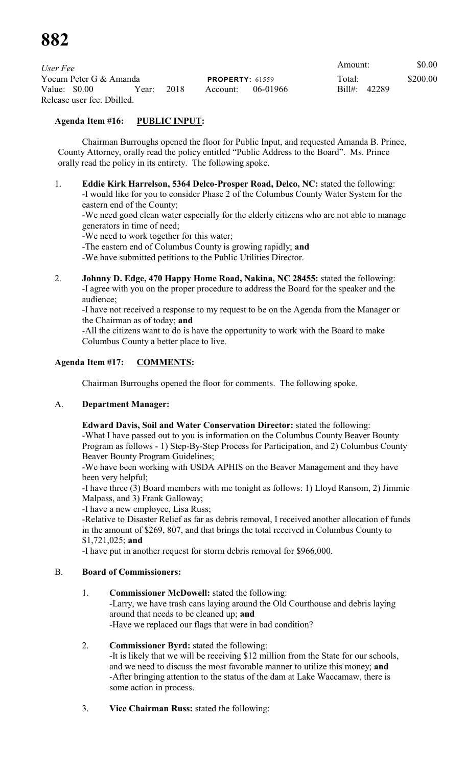| User Fee                   |       |                        |          |            | Amount:      | \$0.00 |
|----------------------------|-------|------------------------|----------|------------|--------------|--------|
| Yocum Peter G & Amanda     |       | <b>PROPERTY: 61559</b> |          | Total:     | \$200.00     |        |
| Value: \$0.00              | Year: | 2018                   | Account: | - 06-01966 | Bill#: 42289 |        |
| Release user fee. Dbilled. |       |                        |          |            |              |        |

# **Agenda Item #16: PUBLIC INPUT:**

Chairman Burroughs opened the floor for Public Input, and requested Amanda B. Prince, County Attorney, orally read the policy entitled "Public Address to the Board". Ms. Prince orally read the policy in its entirety. The following spoke.

1. **Eddie Kirk Harrelson, 5364 Delco-Prosper Road, Delco, NC:** stated the following: -I would like for you to consider Phase 2 of the Columbus County Water System for the eastern end of the County;

-We need good clean water especially for the elderly citizens who are not able to manage generators in time of need;

-We need to work together for this water;

-The eastern end of Columbus County is growing rapidly; **and**

-We have submitted petitions to the Public Utilities Director.

2. **Johnny D. Edge, 470 Happy Home Road, Nakina, NC 28455:** stated the following: -I agree with you on the proper procedure to address the Board for the speaker and the audience;

-I have not received a response to my request to be on the Agenda from the Manager or the Chairman as of today; **and**

-All the citizens want to do is have the opportunity to work with the Board to make Columbus County a better place to live.

# **Agenda Item #17: COMMENTS:**

Chairman Burroughs opened the floor for comments. The following spoke.

# A. **Department Manager:**

**Edward Davis, Soil and Water Conservation Director:** stated the following:

-What I have passed out to you is information on the Columbus County Beaver Bounty Program as follows - 1) Step-By-Step Process for Participation, and 2) Columbus County Beaver Bounty Program Guidelines;

-We have been working with USDA APHIS on the Beaver Management and they have been very helpful;

-I have three (3) Board members with me tonight as follows: 1) Lloyd Ransom, 2) Jimmie Malpass, and 3) Frank Galloway;

-I have a new employee, Lisa Russ;

-Relative to Disaster Relief as far as debris removal, I received another allocation of funds in the amount of \$269, 807, and that brings the total received in Columbus County to \$1,721,025; **and**

-I have put in another request for storm debris removal for \$966,000.

### B. **Board of Commissioners:**

### 1. **Commissioner McDowell:** stated the following:

-Larry, we have trash cans laying around the Old Courthouse and debris laying around that needs to be cleaned up; **and** -Have we replaced our flags that were in bad condition?

### 2. **Commissioner Byrd:** stated the following:

-It is likely that we will be receiving \$12 million from the State for our schools, and we need to discuss the most favorable manner to utilize this money; **and** -After bringing attention to the status of the dam at Lake Waccamaw, there is some action in process.

3. **Vice Chairman Russ:** stated the following: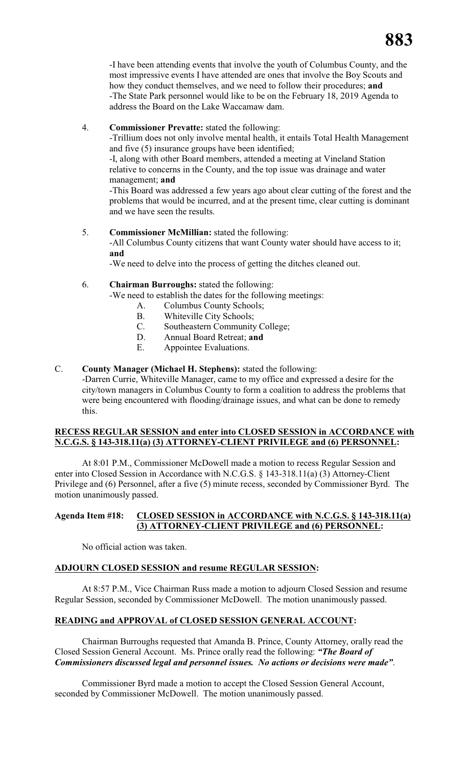-I have been attending events that involve the youth of Columbus County, and the most impressive events I have attended are ones that involve the Boy Scouts and how they conduct themselves, and we need to follow their procedures; **and** -The State Park personnel would like to be on the February 18, 2019 Agenda to address the Board on the Lake Waccamaw dam.

### 4. **Commissioner Prevatte:** stated the following:

-Trillium does not only involve mental health, it entails Total Health Management and five (5) insurance groups have been identified;

-I, along with other Board members, attended a meeting at Vineland Station relative to concerns in the County, and the top issue was drainage and water management; **and**

-This Board was addressed a few years ago about clear cutting of the forest and the problems that would be incurred, and at the present time, clear cutting is dominant and we have seen the results.

# 5. **Commissioner McMillian:** stated the following:

-All Columbus County citizens that want County water should have access to it; **and**

-We need to delve into the process of getting the ditches cleaned out.

# 6. **Chairman Burroughs:** stated the following:

-We need to establish the dates for the following meetings:

- A. Columbus County Schools;
- B. Whiteville City Schools;<br>C. Southeastern Community
- Southeastern Community College;
- D. Annual Board Retreat; **and**
- E. Appointee Evaluations.

# C. **County Manager (Michael H. Stephens):** stated the following:

-Darren Currie, Whiteville Manager, came to my office and expressed a desire for the city/town managers in Columbus County to form a coalition to address the problems that were being encountered with flooding/drainage issues, and what can be done to remedy this.

# **RECESS REGULAR SESSION and enter into CLOSED SESSION in ACCORDANCE with N.C.G.S. § 143-318.11(a) (3) ATTORNEY-CLIENT PRIVILEGE and (6) PERSONNEL:**

At 8:01 P.M., Commissioner McDowell made a motion to recess Regular Session and enter into Closed Session in Accordance with N.C.G.S. § 143-318.11(a) (3) Attorney-Client Privilege and (6) Personnel, after a five (5) minute recess, seconded by Commissioner Byrd. The motion unanimously passed.

# **Agenda Item #18: CLOSED SESSION in ACCORDANCE with N.C.G.S. § 143-318.11(a) (3) ATTORNEY-CLIENT PRIVILEGE and (6) PERSONNEL:**

No official action was taken.

# **ADJOURN CLOSED SESSION and resume REGULAR SESSION:**

At 8:57 P.M., Vice Chairman Russ made a motion to adjourn Closed Session and resume Regular Session, seconded by Commissioner McDowell. The motion unanimously passed.

# **READING and APPROVAL of CLOSED SESSION GENERAL ACCOUNT:**

Chairman Burroughs requested that Amanda B. Prince, County Attorney, orally read the Closed Session General Account. Ms. Prince orally read the following: *"The Board of Commissioners discussed legal and personnel issues. No actions or decisions were made"*.

Commissioner Byrd made a motion to accept the Closed Session General Account, seconded by Commissioner McDowell. The motion unanimously passed.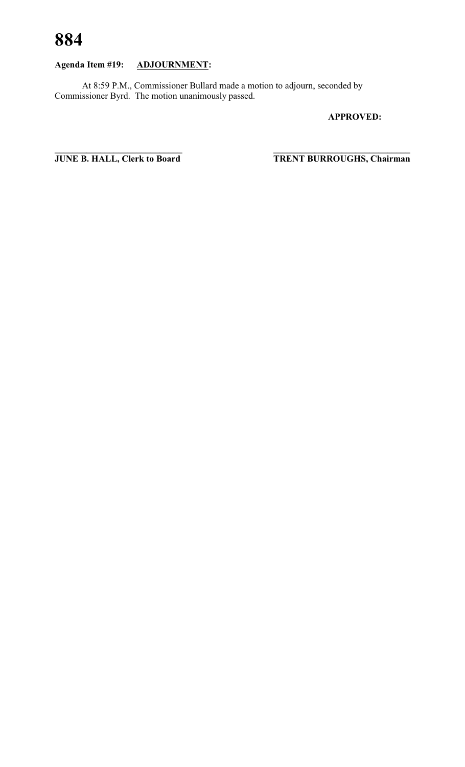# **Agenda Item #19: ADJOURNMENT:**

At 8:59 P.M., Commissioner Bullard made a motion to adjourn, seconded by Commissioner Byrd. The motion unanimously passed.

**APPROVED:**

**JUNE B. HALL, Clerk to Board** 

 $T$ **RENT BURROUGHS, Chairman**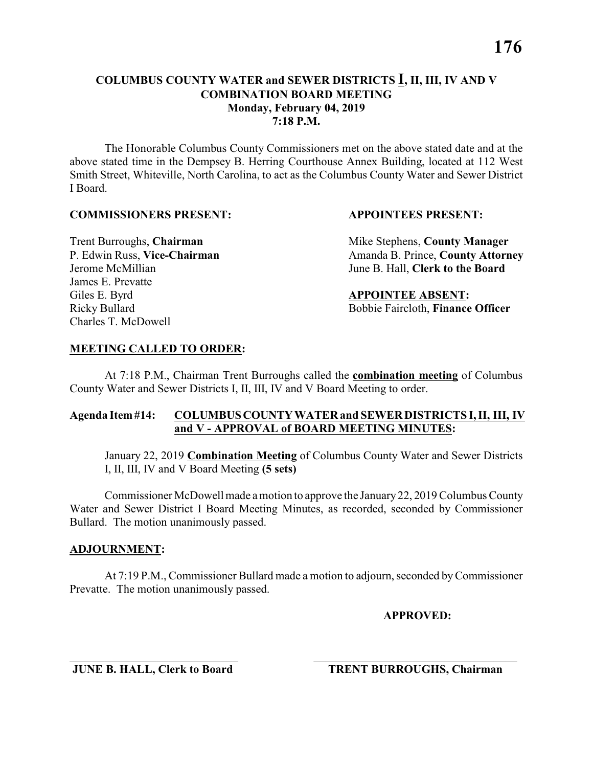The Honorable Columbus County Commissioners met on the above stated date and at the above stated time in the Dempsey B. Herring Courthouse Annex Building, located at 112 West Smith Street, Whiteville, North Carolina, to act as the Columbus County Water and Sewer District I Board.

#### **COMMISSIONERS PRESENT: APPOINTEES PRESENT:**

James E. Prevatte Giles E. Byrd **APPOINTEE ABSENT:** Charles T. McDowell

**Trent Burroughs, Chairman** Mike Stephens, **County Manager** P. Edwin Russ, Vice-Chairman Amanda B. Prince, County Attorney Jerome McMillian June B. Hall, **Clerk to the Board**

Ricky Bullard Bobbie Faircloth, **Finance Officer**

### **MEETING CALLED TO ORDER:**

At 7:18 P.M., Chairman Trent Burroughs called the **combination meeting** of Columbus County Water and Sewer Districts I, II, III, IV and V Board Meeting to order.

### **Agenda Item #14: COLUMBUS COUNTY WATER and SEWER DISTRICTS I, II, III, IV and V - APPROVAL of BOARD MEETING MINUTES:**

January 22, 2019 **Combination Meeting** of Columbus County Water and Sewer Districts I, II, III, IV and V Board Meeting **(5 sets)**

Commissioner McDowell made a motion to approve the January 22, 2019 Columbus County Water and Sewer District I Board Meeting Minutes, as recorded, seconded by Commissioner Bullard. The motion unanimously passed.

### **ADJOURNMENT:**

At 7:19 P.M., Commissioner Bullard made a motion to adjourn, seconded by Commissioner Prevatte. The motion unanimously passed.

\_\_\_\_\_\_\_\_\_\_\_\_\_\_\_\_\_\_\_\_\_\_\_\_\_\_\_\_\_ \_\_\_\_\_\_\_\_\_\_\_\_\_\_\_\_\_\_\_\_\_\_\_\_\_\_\_\_\_\_\_\_\_\_\_

**APPROVED:**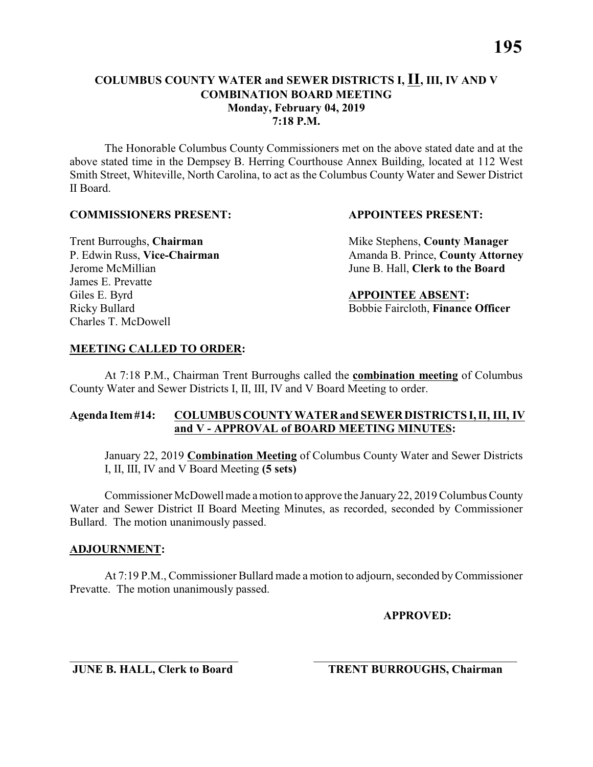### **COLUMBUS COUNTY WATER and SEWER DISTRICTS I, II, III, IV AND V COMBINATION BOARD MEETING Monday, February 04, 2019 7:18 P.M.**

The Honorable Columbus County Commissioners met on the above stated date and at the above stated time in the Dempsey B. Herring Courthouse Annex Building, located at 112 West Smith Street, Whiteville, North Carolina, to act as the Columbus County Water and Sewer District II Board.

#### **COMMISSIONERS PRESENT: APPOINTEES PRESENT:**

James E. Prevatte Giles E. Byrd **APPOINTEE ABSENT:** Charles T. McDowell

**Trent Burroughs, Chairman** Mike Stephens, **County Manager** P. Edwin Russ, Vice-Chairman Amanda B. Prince, County Attorney Jerome McMillian June B. Hall, **Clerk to the Board**

Ricky Bullard Bobbie Faircloth, **Finance Officer**

### **MEETING CALLED TO ORDER:**

At 7:18 P.M., Chairman Trent Burroughs called the **combination meeting** of Columbus County Water and Sewer Districts I, II, III, IV and V Board Meeting to order.

### **Agenda Item #14: COLUMBUS COUNTY WATER and SEWER DISTRICTS I, II, III, IV and V - APPROVAL of BOARD MEETING MINUTES:**

January 22, 2019 **Combination Meeting** of Columbus County Water and Sewer Districts I, II, III, IV and V Board Meeting **(5 sets)**

Commissioner McDowell made a motion to approve the January 22, 2019 Columbus County Water and Sewer District II Board Meeting Minutes, as recorded, seconded by Commissioner Bullard. The motion unanimously passed.

### **ADJOURNMENT:**

At 7:19 P.M., Commissioner Bullard made a motion to adjourn, seconded by Commissioner Prevatte. The motion unanimously passed.

\_\_\_\_\_\_\_\_\_\_\_\_\_\_\_\_\_\_\_\_\_\_\_\_\_\_\_\_\_ \_\_\_\_\_\_\_\_\_\_\_\_\_\_\_\_\_\_\_\_\_\_\_\_\_\_\_\_\_\_\_\_\_\_\_

**APPROVED:**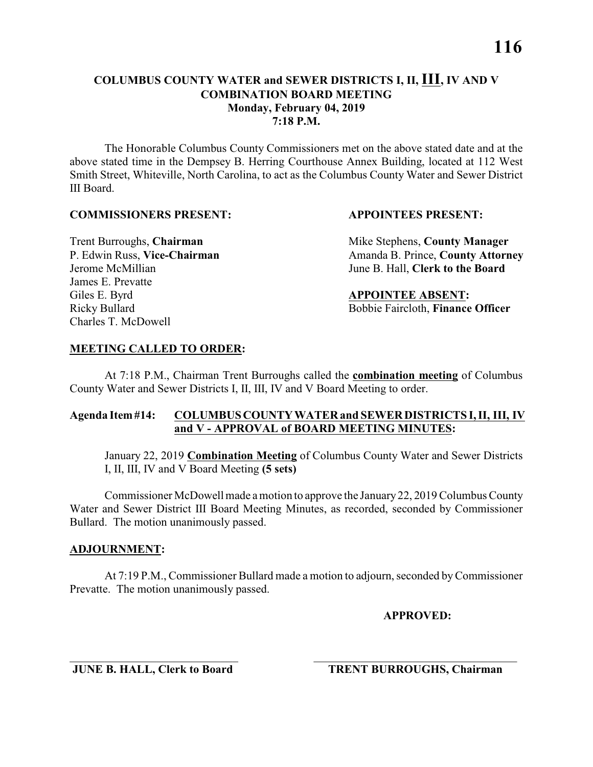### **COLUMBUS COUNTY WATER and SEWER DISTRICTS I, II, III, IV AND V COMBINATION BOARD MEETING Monday, February 04, 2019 7:18 P.M.**

The Honorable Columbus County Commissioners met on the above stated date and at the above stated time in the Dempsey B. Herring Courthouse Annex Building, located at 112 West Smith Street, Whiteville, North Carolina, to act as the Columbus County Water and Sewer District III Board.

#### **COMMISSIONERS PRESENT: APPOINTEES PRESENT:**

James E. Prevatte Giles E. Byrd **APPOINTEE ABSENT:** Charles T. McDowell

**Trent Burroughs, Chairman** Mike Stephens, **County Manager** P. Edwin Russ, Vice-Chairman Amanda B. Prince, County Attorney Jerome McMillian June B. Hall, **Clerk to the Board**

Ricky Bullard Bobbie Faircloth, **Finance Officer**

# **MEETING CALLED TO ORDER:**

At 7:18 P.M., Chairman Trent Burroughs called the **combination meeting** of Columbus County Water and Sewer Districts I, II, III, IV and V Board Meeting to order.

# **Agenda Item #14: COLUMBUS COUNTY WATER and SEWER DISTRICTS I, II, III, IV and V - APPROVAL of BOARD MEETING MINUTES:**

January 22, 2019 **Combination Meeting** of Columbus County Water and Sewer Districts I, II, III, IV and V Board Meeting **(5 sets)**

Commissioner McDowell made a motion to approve the January 22, 2019 Columbus County Water and Sewer District III Board Meeting Minutes, as recorded, seconded by Commissioner Bullard. The motion unanimously passed.

### **ADJOURNMENT:**

At 7:19 P.M., Commissioner Bullard made a motion to adjourn, seconded by Commissioner Prevatte. The motion unanimously passed.

\_\_\_\_\_\_\_\_\_\_\_\_\_\_\_\_\_\_\_\_\_\_\_\_\_\_\_\_\_ \_\_\_\_\_\_\_\_\_\_\_\_\_\_\_\_\_\_\_\_\_\_\_\_\_\_\_\_\_\_\_\_\_\_\_

**APPROVED:**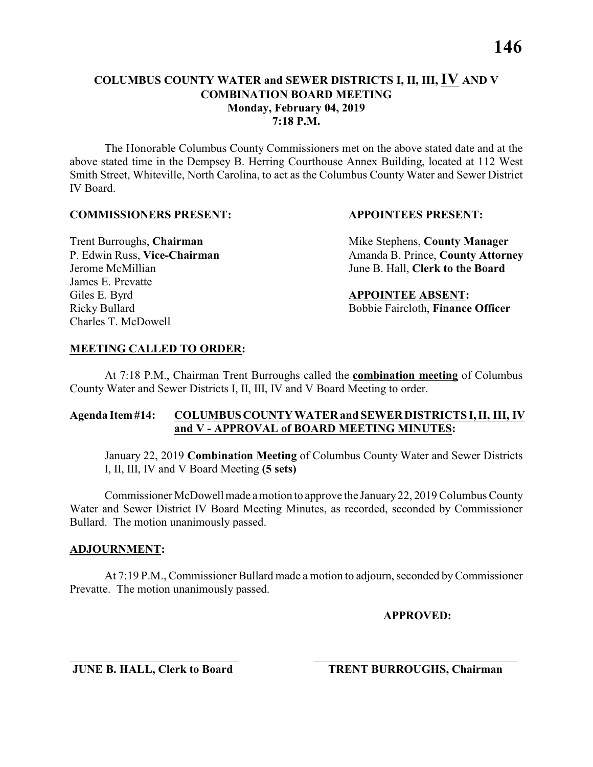#### **COLUMBUS COUNTY WATER and SEWER DISTRICTS I, II, III, IV AND V COMBINATION BOARD MEETING Monday, February 04, 2019 7:18 P.M.**

The Honorable Columbus County Commissioners met on the above stated date and at the above stated time in the Dempsey B. Herring Courthouse Annex Building, located at 112 West Smith Street, Whiteville, North Carolina, to act as the Columbus County Water and Sewer District IV Board.

#### **COMMISSIONERS PRESENT: APPOINTEES PRESENT:**

James E. Prevatte Giles E. Byrd **APPOINTEE ABSENT:** Charles T. McDowell

**Trent Burroughs, Chairman** Mike Stephens, **County Manager** P. Edwin Russ, Vice-Chairman Amanda B. Prince, County Attorney Jerome McMillian June B. Hall, **Clerk to the Board**

Ricky Bullard Bobbie Faircloth, **Finance Officer**

# **MEETING CALLED TO ORDER:**

At 7:18 P.M., Chairman Trent Burroughs called the **combination meeting** of Columbus County Water and Sewer Districts I, II, III, IV and V Board Meeting to order.

# **Agenda Item #14: COLUMBUS COUNTY WATER and SEWER DISTRICTS I, II, III, IV and V - APPROVAL of BOARD MEETING MINUTES:**

January 22, 2019 **Combination Meeting** of Columbus County Water and Sewer Districts I, II, III, IV and V Board Meeting **(5 sets)**

Commissioner McDowell made a motion to approve the January 22, 2019 Columbus County Water and Sewer District IV Board Meeting Minutes, as recorded, seconded by Commissioner Bullard. The motion unanimously passed.

# **ADJOURNMENT:**

At 7:19 P.M., Commissioner Bullard made a motion to adjourn, seconded by Commissioner Prevatte. The motion unanimously passed.

**APPROVED:**

\_\_\_\_\_\_\_\_\_\_\_\_\_\_\_\_\_\_\_\_\_\_\_\_\_\_\_\_\_ \_\_\_\_\_\_\_\_\_\_\_\_\_\_\_\_\_\_\_\_\_\_\_\_\_\_\_\_\_\_\_\_\_\_\_ **JUNE B. HALL, Clerk to Board TRENT BURROUGHS, Chairman**